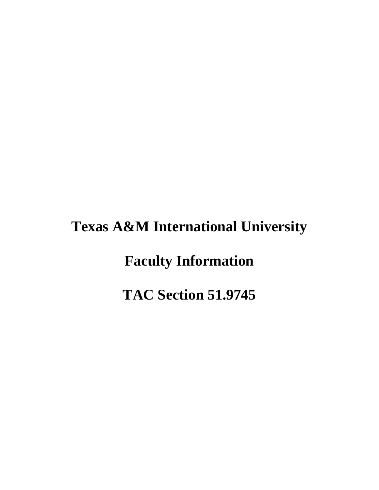# **Texas A&M International University**

**Faculty Information** 

**TAC Section 51.9745**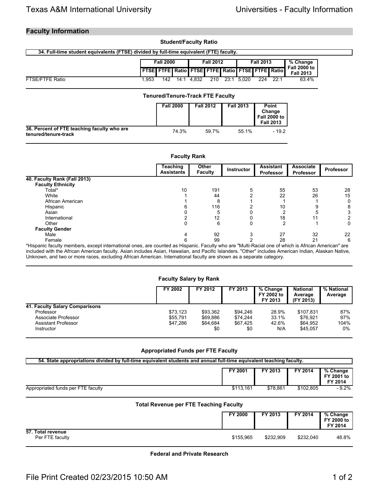### **Faculty Information**

#### **Student/Faculty Ratio**

#### **34. Full-time student equivalents (FTSE) divided by full-time equivalent (FTE) faculty.**

|                        | <b>Fall 2000</b> |     | <b>Fall 2012</b> |                                                        | <b>Fall 2013</b> |      | % Change<br><b>Fall 2000 to</b> |     |      |                  |
|------------------------|------------------|-----|------------------|--------------------------------------------------------|------------------|------|---------------------------------|-----|------|------------------|
|                        |                  |     |                  | <b>FTSE FTFE Ratio FTSE FTFE Ratio FTSE FTFE Ratio</b> |                  |      |                                 |     |      | <b>Fall 2013</b> |
| <b>FTSE/FTFE Ratio</b> | .953             | 142 | 14:1             | 4.832                                                  | 210              | 23:1 | 5.020                           | 224 | 22:1 | 63.4%            |

|                                                                     | <b>Tenured/Tenure-Track FTE Faculty</b> |                  |                  |                                                            |
|---------------------------------------------------------------------|-----------------------------------------|------------------|------------------|------------------------------------------------------------|
|                                                                     | <b>Fall 2000</b>                        | <b>Fall 2012</b> | <b>Fall 2013</b> | Point<br>Change<br><b>Fall 2000 to</b><br><b>Fall 2013</b> |
| 36. Percent of FTE teaching faculty who are<br>tenured/tenure-track | 74.3%                                   | 59.7%            | 55.1%            | $-19.2$                                                    |

| <b>Faculty Rank</b>          |                               |                         |                   |                                      |                                      |                  |  |  |
|------------------------------|-------------------------------|-------------------------|-------------------|--------------------------------------|--------------------------------------|------------------|--|--|
|                              | Teaching<br><b>Assistants</b> | Other<br><b>Faculty</b> | <b>Instructor</b> | <b>Assistant</b><br><b>Professor</b> | <b>Associate</b><br><b>Professor</b> | <b>Professor</b> |  |  |
| 40. Faculty Rank (Fall 2013) |                               |                         |                   |                                      |                                      |                  |  |  |
| <b>Faculty Ethnicity</b>     |                               |                         |                   |                                      |                                      |                  |  |  |
| Total*                       | 10                            | 191                     |                   | 55                                   | 53                                   | 28               |  |  |
| White                        |                               | 44                      |                   | 22                                   | 26                                   | 15               |  |  |
| African American             |                               | 8                       |                   |                                      |                                      | 0                |  |  |
| Hispanic                     |                               | 116                     |                   | 10                                   |                                      | 8                |  |  |
| Asian                        |                               | 5                       |                   |                                      |                                      | 3                |  |  |
| International                |                               | 12                      |                   | 18                                   |                                      |                  |  |  |
| Other                        |                               | 6                       | 0                 | ົ                                    |                                      | 0                |  |  |
| <b>Faculty Gender</b>        |                               |                         |                   |                                      |                                      |                  |  |  |
| Male                         |                               | 92                      |                   | 27                                   | 32                                   | 22               |  |  |
| Female                       | հ                             | 99                      |                   | 28                                   | 21                                   | 6                |  |  |

\*Hispanic faculty members, except international ones, are counted as Hispanic. Faculty who are "Multi-Racial one of which is African American" are included with the African American faculty. Asian includes Asian, Hawaiian, and Pacific Islanders. "Other" includes American Indian, Alaskan Native, Unknown, and two or more races, excluding African American. International faculty are shown as a separate category.

#### **Faculty Salary by Rank**

|                                | <b>FY 2002</b> | FY 2012  | FY 2013  | % Change<br>FY 2002 to<br>FY 2013 | <b>National</b><br>Average<br>(FY 2013) | % National<br>Average |
|--------------------------------|----------------|----------|----------|-----------------------------------|-----------------------------------------|-----------------------|
| 41. Faculty Salary Comparisons |                |          |          |                                   |                                         |                       |
| Professor                      | \$73.123       | \$93.362 | \$94.246 | 28.9%                             | \$107.831                               | 87%                   |
| Associate Professor            | \$55,791       | \$69.886 | \$74.244 | 33.1%                             | \$76.921                                | 97%                   |
| Assistant Professor            | \$47.286       | \$64.684 | \$67.425 | 42.6%                             | \$64.952                                | 104%                  |
| Instructor                     |                | \$0      | \$0      | N/A                               | \$45.057                                | 0%                    |

#### **Appropriated Funds per FTE Faculty**

| 54. State appropriations divided by full-time equivalent students and annual full-time equivalent teaching faculty. |           |          |           |                                   |  |  |  |  |
|---------------------------------------------------------------------------------------------------------------------|-----------|----------|-----------|-----------------------------------|--|--|--|--|
|                                                                                                                     | FY 2001   | FY 2013  | FY 2014   | % Change<br>FY 2001 to<br>FY 2014 |  |  |  |  |
| Appropriated funds per FTE faculty                                                                                  | \$113.161 | \$78.861 | \$102.805 | $-9.2\%$                          |  |  |  |  |

#### **Total Revenue per FTE Teaching Faculty**

|                                      | FY 2000   | FY 2013   | FY 2014   | % Change<br>FY 2000 to<br>FY 2014 |
|--------------------------------------|-----------|-----------|-----------|-----------------------------------|
| 57. Total revenue<br>Per FTE faculty | \$155,965 | \$232,909 | \$232.040 | 48.8%                             |

**Federal and Private Research**